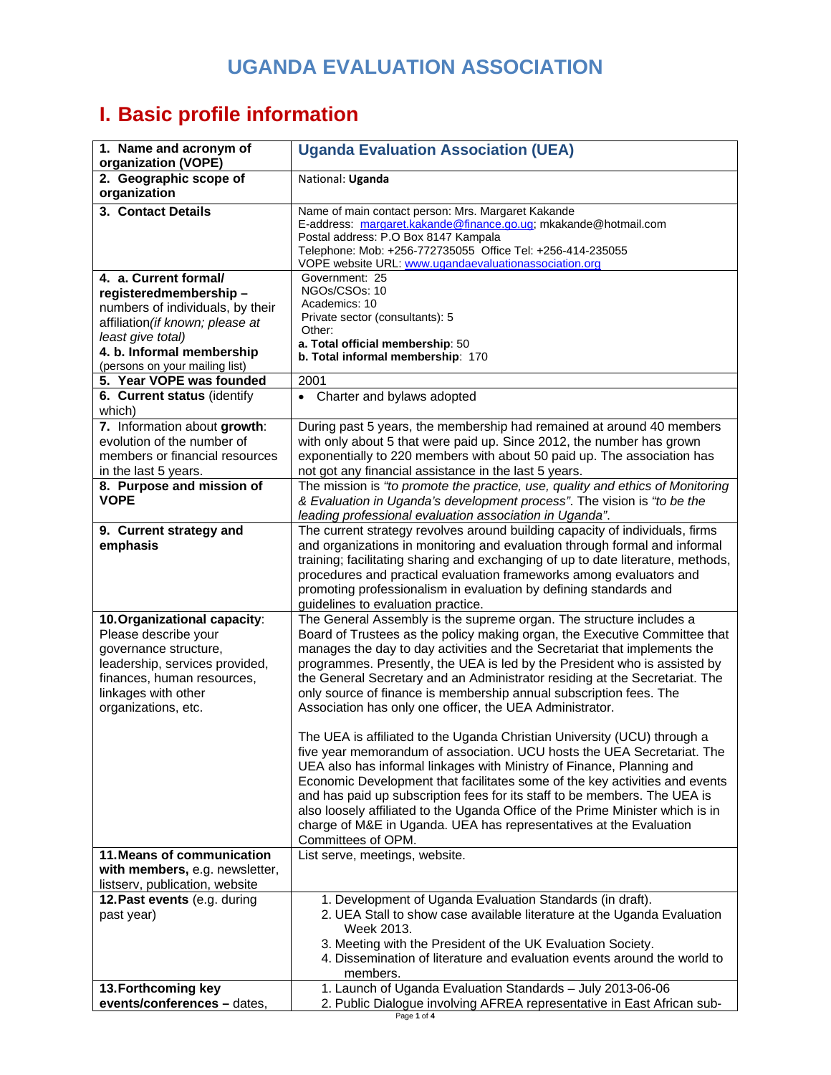## **UGANDA EVALUATION ASSOCIATION**

## **I. Basic profile information**

| 1. Name and acronym of<br>organization (VOPE)                                                                                                                                               | <b>Uganda Evaluation Association (UEA)</b>                                                                                                                                                                                                                                                                                                                                                                                                                                                                                                                             |
|---------------------------------------------------------------------------------------------------------------------------------------------------------------------------------------------|------------------------------------------------------------------------------------------------------------------------------------------------------------------------------------------------------------------------------------------------------------------------------------------------------------------------------------------------------------------------------------------------------------------------------------------------------------------------------------------------------------------------------------------------------------------------|
| 2. Geographic scope of<br>organization                                                                                                                                                      | National: Uganda                                                                                                                                                                                                                                                                                                                                                                                                                                                                                                                                                       |
| 3. Contact Details                                                                                                                                                                          | Name of main contact person: Mrs. Margaret Kakande<br>E-address: margaret.kakande@finance.go.ug; mkakande@hotmail.com<br>Postal address: P.O Box 8147 Kampala<br>Telephone: Mob: +256-772735055 Office Tel: +256-414-235055<br>VOPE website URL: www.ugandaevaluationassociation.org                                                                                                                                                                                                                                                                                   |
| 4. a. Current formal/<br>registeredmembership-<br>numbers of individuals, by their<br>affiliation (if known; please at<br>least give total)<br>4. b. Informal membership                    | Government: 25<br>NGOs/CSOs: 10<br>Academics: 10<br>Private sector (consultants): 5<br>Other:<br>a. Total official membership: 50<br>b. Total informal membership: 170                                                                                                                                                                                                                                                                                                                                                                                                 |
| (persons on your mailing list)<br>5. Year VOPE was founded                                                                                                                                  | 2001                                                                                                                                                                                                                                                                                                                                                                                                                                                                                                                                                                   |
| 6. Current status (identify<br>which)                                                                                                                                                       | • Charter and bylaws adopted                                                                                                                                                                                                                                                                                                                                                                                                                                                                                                                                           |
| 7. Information about growth:<br>evolution of the number of<br>members or financial resources<br>in the last 5 years.                                                                        | During past 5 years, the membership had remained at around 40 members<br>with only about 5 that were paid up. Since 2012, the number has grown<br>exponentially to 220 members with about 50 paid up. The association has<br>not got any financial assistance in the last 5 years.                                                                                                                                                                                                                                                                                     |
| 8. Purpose and mission of<br><b>VOPE</b>                                                                                                                                                    | The mission is "to promote the practice, use, quality and ethics of Monitoring<br>& Evaluation in Uganda's development process". The vision is "to be the<br>leading professional evaluation association in Uganda".                                                                                                                                                                                                                                                                                                                                                   |
| 9. Current strategy and<br>emphasis                                                                                                                                                         | The current strategy revolves around building capacity of individuals, firms<br>and organizations in monitoring and evaluation through formal and informal<br>training; facilitating sharing and exchanging of up to date literature, methods,<br>procedures and practical evaluation frameworks among evaluators and<br>promoting professionalism in evaluation by defining standards and<br>guidelines to evaluation practice.                                                                                                                                       |
| 10. Organizational capacity:<br>Please describe your<br>governance structure,<br>leadership, services provided,<br>finances, human resources,<br>linkages with other<br>organizations, etc. | The General Assembly is the supreme organ. The structure includes a<br>Board of Trustees as the policy making organ, the Executive Committee that<br>manages the day to day activities and the Secretariat that implements the<br>programmes. Presently, the UEA is led by the President who is assisted by<br>the General Secretary and an Administrator residing at the Secretariat. The<br>only source of finance is membership annual subscription fees. The<br>Association has only one officer, the UEA Administrator.                                           |
|                                                                                                                                                                                             | The UEA is affiliated to the Uganda Christian University (UCU) through a<br>five year memorandum of association. UCU hosts the UEA Secretariat. The<br>UEA also has informal linkages with Ministry of Finance, Planning and<br>Economic Development that facilitates some of the key activities and events<br>and has paid up subscription fees for its staff to be members. The UEA is<br>also loosely affiliated to the Uganda Office of the Prime Minister which is in<br>charge of M&E in Uganda. UEA has representatives at the Evaluation<br>Committees of OPM. |
| 11. Means of communication<br>with members, e.g. newsletter,                                                                                                                                | List serve, meetings, website.                                                                                                                                                                                                                                                                                                                                                                                                                                                                                                                                         |
| listserv, publication, website<br>12. Past events (e.g. during<br>past year)                                                                                                                | 1. Development of Uganda Evaluation Standards (in draft).<br>2. UEA Stall to show case available literature at the Uganda Evaluation<br>Week 2013.<br>3. Meeting with the President of the UK Evaluation Society.<br>4. Dissemination of literature and evaluation events around the world to<br>members.                                                                                                                                                                                                                                                              |
| 13. Forthcoming key<br>events/conferences - dates,                                                                                                                                          | 1. Launch of Uganda Evaluation Standards - July 2013-06-06<br>2. Public Dialogue involving AFREA representative in East African sub-                                                                                                                                                                                                                                                                                                                                                                                                                                   |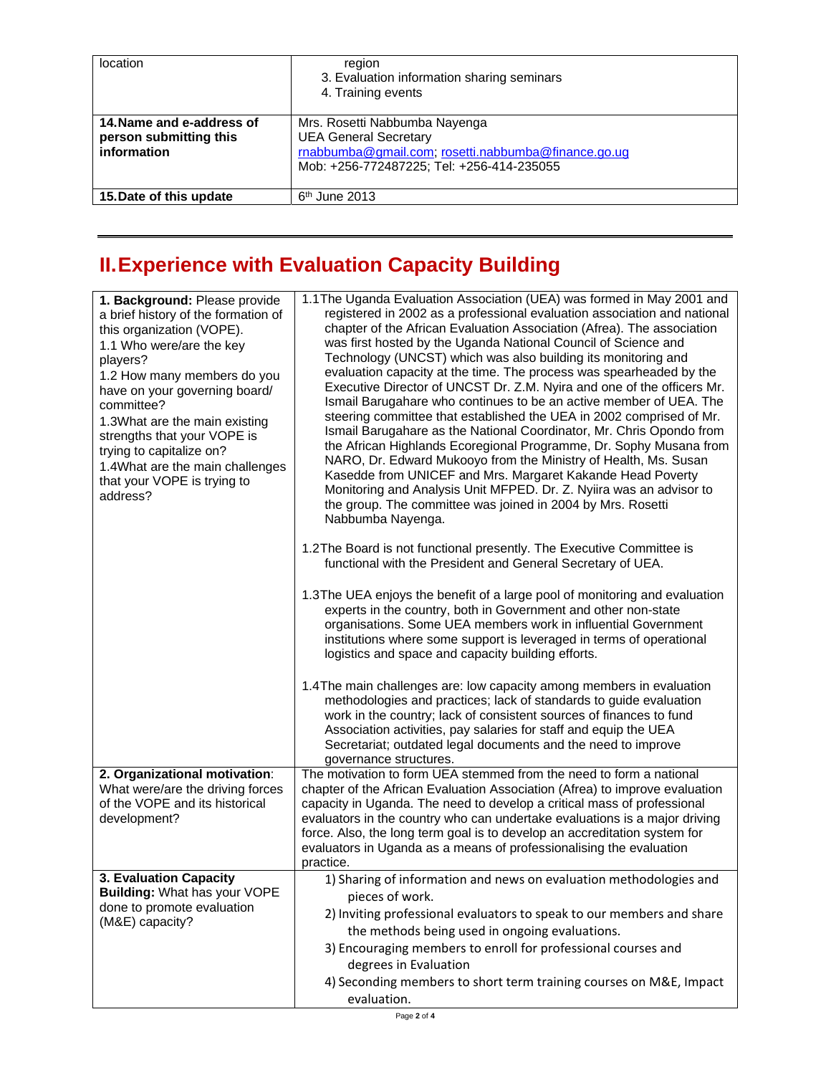| location                                                           | region<br>3. Evaluation information sharing seminars<br>4. Training events                                                                                        |
|--------------------------------------------------------------------|-------------------------------------------------------------------------------------------------------------------------------------------------------------------|
| 14. Name and e-address of<br>person submitting this<br>information | Mrs. Rosetti Nabbumba Nayenga<br><b>UEA General Secretary</b><br>rnabbumba@gmail.com; rosetti.nabbumba@finance.go.ug<br>Mob: +256-772487225; Tel: +256-414-235055 |
| 15. Date of this update                                            | $6th$ June 2013                                                                                                                                                   |

## **II. Experience with Evaluation Capacity Building**

| 1. Background: Please provide<br>a brief history of the formation of<br>this organization (VOPE).<br>1.1 Who were/are the key<br>players?<br>1.2 How many members do you<br>have on your governing board/<br>committee?<br>1.3What are the main existing<br>strengths that your VOPE is<br>trying to capitalize on?<br>1.4What are the main challenges<br>that your VOPE is trying to<br>address? | 1.1 The Uganda Evaluation Association (UEA) was formed in May 2001 and<br>registered in 2002 as a professional evaluation association and national<br>chapter of the African Evaluation Association (Afrea). The association<br>was first hosted by the Uganda National Council of Science and<br>Technology (UNCST) which was also building its monitoring and<br>evaluation capacity at the time. The process was spearheaded by the<br>Executive Director of UNCST Dr. Z.M. Nyira and one of the officers Mr.<br>Ismail Barugahare who continues to be an active member of UEA. The<br>steering committee that established the UEA in 2002 comprised of Mr.<br>Ismail Barugahare as the National Coordinator, Mr. Chris Opondo from<br>the African Highlands Ecoregional Programme, Dr. Sophy Musana from<br>NARO, Dr. Edward Mukooyo from the Ministry of Health, Ms. Susan<br>Kasedde from UNICEF and Mrs. Margaret Kakande Head Poverty<br>Monitoring and Analysis Unit MFPED. Dr. Z. Nyiira was an advisor to<br>the group. The committee was joined in 2004 by Mrs. Rosetti<br>Nabbumba Nayenga. |
|---------------------------------------------------------------------------------------------------------------------------------------------------------------------------------------------------------------------------------------------------------------------------------------------------------------------------------------------------------------------------------------------------|----------------------------------------------------------------------------------------------------------------------------------------------------------------------------------------------------------------------------------------------------------------------------------------------------------------------------------------------------------------------------------------------------------------------------------------------------------------------------------------------------------------------------------------------------------------------------------------------------------------------------------------------------------------------------------------------------------------------------------------------------------------------------------------------------------------------------------------------------------------------------------------------------------------------------------------------------------------------------------------------------------------------------------------------------------------------------------------------------------|
|                                                                                                                                                                                                                                                                                                                                                                                                   | 1.2The Board is not functional presently. The Executive Committee is<br>functional with the President and General Secretary of UEA.                                                                                                                                                                                                                                                                                                                                                                                                                                                                                                                                                                                                                                                                                                                                                                                                                                                                                                                                                                      |
|                                                                                                                                                                                                                                                                                                                                                                                                   | 1.3The UEA enjoys the benefit of a large pool of monitoring and evaluation<br>experts in the country, both in Government and other non-state<br>organisations. Some UEA members work in influential Government<br>institutions where some support is leveraged in terms of operational<br>logistics and space and capacity building efforts.                                                                                                                                                                                                                                                                                                                                                                                                                                                                                                                                                                                                                                                                                                                                                             |
|                                                                                                                                                                                                                                                                                                                                                                                                   | 1.4 The main challenges are: low capacity among members in evaluation<br>methodologies and practices; lack of standards to guide evaluation<br>work in the country; lack of consistent sources of finances to fund<br>Association activities, pay salaries for staff and equip the UEA<br>Secretariat; outdated legal documents and the need to improve<br>governance structures.                                                                                                                                                                                                                                                                                                                                                                                                                                                                                                                                                                                                                                                                                                                        |
| 2. Organizational motivation:<br>What were/are the driving forces<br>of the VOPE and its historical<br>development?                                                                                                                                                                                                                                                                               | The motivation to form UEA stemmed from the need to form a national<br>chapter of the African Evaluation Association (Afrea) to improve evaluation<br>capacity in Uganda. The need to develop a critical mass of professional<br>evaluators in the country who can undertake evaluations is a major driving<br>force. Also, the long term goal is to develop an accreditation system for<br>evaluators in Uganda as a means of professionalising the evaluation<br>practice.                                                                                                                                                                                                                                                                                                                                                                                                                                                                                                                                                                                                                             |
| 3. Evaluation Capacity<br>Building: What has your VOPE                                                                                                                                                                                                                                                                                                                                            | 1) Sharing of information and news on evaluation methodologies and<br>pieces of work.                                                                                                                                                                                                                                                                                                                                                                                                                                                                                                                                                                                                                                                                                                                                                                                                                                                                                                                                                                                                                    |
| done to promote evaluation<br>(M&E) capacity?                                                                                                                                                                                                                                                                                                                                                     | 2) Inviting professional evaluators to speak to our members and share                                                                                                                                                                                                                                                                                                                                                                                                                                                                                                                                                                                                                                                                                                                                                                                                                                                                                                                                                                                                                                    |
|                                                                                                                                                                                                                                                                                                                                                                                                   | the methods being used in ongoing evaluations.<br>3) Encouraging members to enroll for professional courses and                                                                                                                                                                                                                                                                                                                                                                                                                                                                                                                                                                                                                                                                                                                                                                                                                                                                                                                                                                                          |
|                                                                                                                                                                                                                                                                                                                                                                                                   | degrees in Evaluation                                                                                                                                                                                                                                                                                                                                                                                                                                                                                                                                                                                                                                                                                                                                                                                                                                                                                                                                                                                                                                                                                    |
|                                                                                                                                                                                                                                                                                                                                                                                                   | 4) Seconding members to short term training courses on M&E, Impact<br>evaluation.                                                                                                                                                                                                                                                                                                                                                                                                                                                                                                                                                                                                                                                                                                                                                                                                                                                                                                                                                                                                                        |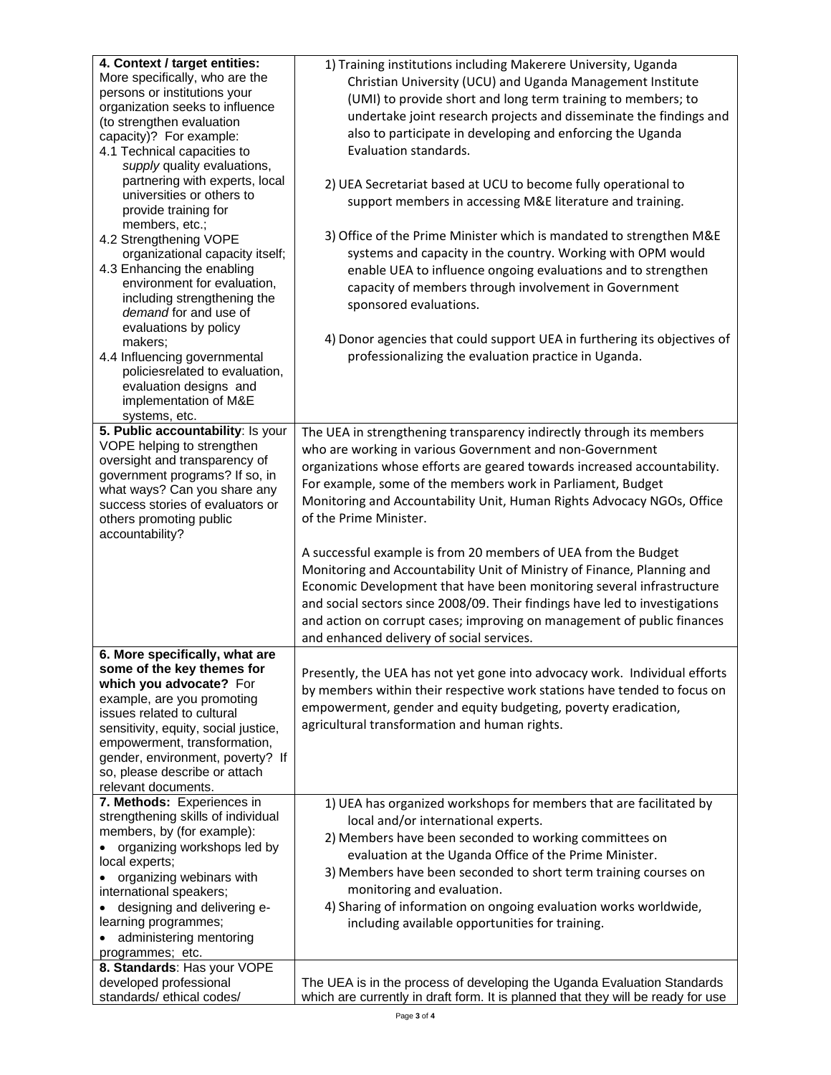| 4. Context / target entities:        | 1) Training institutions including Makerere University, Uganda                   |
|--------------------------------------|----------------------------------------------------------------------------------|
| More specifically, who are the       | Christian University (UCU) and Uganda Management Institute                       |
| persons or institutions your         |                                                                                  |
| organization seeks to influence      | (UMI) to provide short and long term training to members; to                     |
| (to strengthen evaluation            | undertake joint research projects and disseminate the findings and               |
| capacity)? For example:              | also to participate in developing and enforcing the Uganda                       |
| 4.1 Technical capacities to          | Evaluation standards.                                                            |
| supply quality evaluations,          |                                                                                  |
| partnering with experts, local       | 2) UEA Secretariat based at UCU to become fully operational to                   |
| universities or others to            |                                                                                  |
| provide training for                 | support members in accessing M&E literature and training.                        |
| members, etc.;                       |                                                                                  |
| 4.2 Strengthening VOPE               | 3) Office of the Prime Minister which is mandated to strengthen M&E              |
| organizational capacity itself;      | systems and capacity in the country. Working with OPM would                      |
| 4.3 Enhancing the enabling           | enable UEA to influence ongoing evaluations and to strengthen                    |
| environment for evaluation,          | capacity of members through involvement in Government                            |
| including strengthening the          |                                                                                  |
| demand for and use of                | sponsored evaluations.                                                           |
| evaluations by policy                |                                                                                  |
| makers;                              | 4) Donor agencies that could support UEA in furthering its objectives of         |
| 4.4 Influencing governmental         | professionalizing the evaluation practice in Uganda.                             |
| policiesrelated to evaluation,       |                                                                                  |
| evaluation designs and               |                                                                                  |
| implementation of M&E                |                                                                                  |
| systems, etc.                        |                                                                                  |
| 5. Public accountability: Is your    | The UEA in strengthening transparency indirectly through its members             |
| VOPE helping to strengthen           | who are working in various Government and non-Government                         |
| oversight and transparency of        | organizations whose efforts are geared towards increased accountability.         |
| government programs? If so, in       |                                                                                  |
| what ways? Can you share any         | For example, some of the members work in Parliament, Budget                      |
| success stories of evaluators or     | Monitoring and Accountability Unit, Human Rights Advocacy NGOs, Office           |
| others promoting public              | of the Prime Minister.                                                           |
| accountability?                      |                                                                                  |
|                                      | A successful example is from 20 members of UEA from the Budget                   |
|                                      | Monitoring and Accountability Unit of Ministry of Finance, Planning and          |
|                                      |                                                                                  |
|                                      | Economic Development that have been monitoring several infrastructure            |
|                                      | and social sectors since 2008/09. Their findings have led to investigations      |
|                                      | and action on corrupt cases; improving on management of public finances          |
|                                      | and enhanced delivery of social services.                                        |
| 6. More specifically, what are       |                                                                                  |
| some of the key themes for           | Presently, the UEA has not yet gone into advocacy work. Individual efforts       |
| which you advocate? For              | by members within their respective work stations have tended to focus on         |
| example, are you promoting           |                                                                                  |
| issues related to cultural           | empowerment, gender and equity budgeting, poverty eradication,                   |
| sensitivity, equity, social justice, | agricultural transformation and human rights.                                    |
| empowerment, transformation,         |                                                                                  |
| gender, environment, poverty? If     |                                                                                  |
| so, please describe or attach        |                                                                                  |
| relevant documents.                  |                                                                                  |
| 7. Methods: Experiences in           | 1) UEA has organized workshops for members that are facilitated by               |
| strengthening skills of individual   | local and/or international experts.                                              |
| members, by (for example):           | 2) Members have been seconded to working committees on                           |
| organizing workshops led by          | evaluation at the Uganda Office of the Prime Minister.                           |
| local experts;                       |                                                                                  |
| organizing webinars with             | 3) Members have been seconded to short term training courses on                  |
| international speakers;              | monitoring and evaluation.                                                       |
| designing and delivering e-          | 4) Sharing of information on ongoing evaluation works worldwide,                 |
| learning programmes;                 | including available opportunities for training.                                  |
| administering mentoring<br>$\bullet$ |                                                                                  |
| programmes; etc.                     |                                                                                  |
| 8. Standards: Has your VOPE          |                                                                                  |
| developed professional               | The UEA is in the process of developing the Uganda Evaluation Standards          |
| standards/ethical codes/             | which are currently in draft form. It is planned that they will be ready for use |